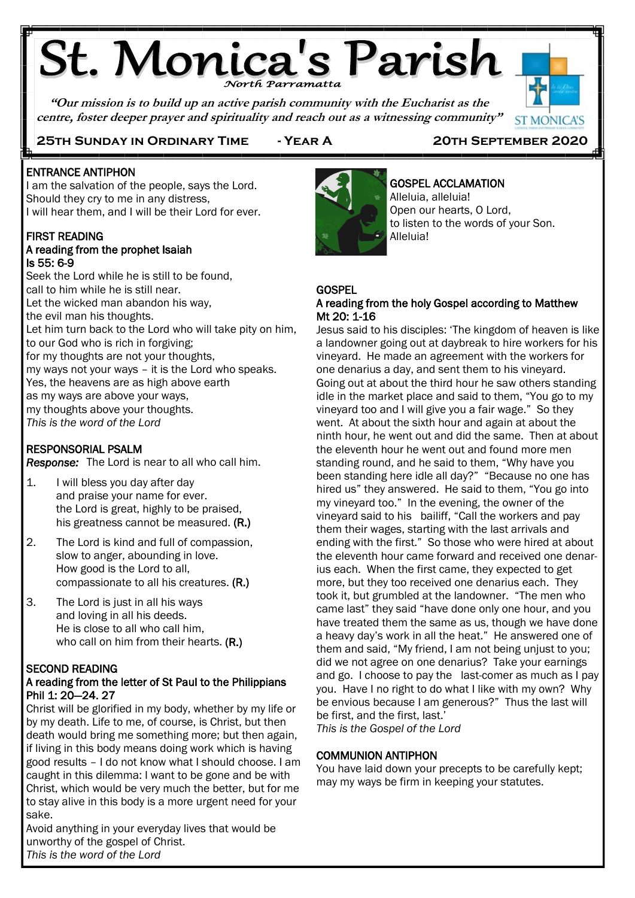# **St. Monica's Parish**

**"Our mission is to build up an active parish community with the Eucharist as the centre, foster deeper prayer and spirituality and reach out as a witnessing community"**



**25th Sunday in Ordinary Time - Year A 20th September 2020**

#### Ī ENTRANCE ANTIPHON

j

I am the salvation of the people, says the Lord. Should they cry to me in any distress, I will hear them, and I will be their Lord for ever.

#### FIRST READING A reading from the prophet Isaiah Is 55: 6-9

Seek the Lord while he is still to be found, call to him while he is still near. Let the wicked man abandon his way, the evil man his thoughts. Let him turn back to the Lord who will take pity on him, to our God who is rich in forgiving; for my thoughts are not your thoughts, my ways not your ways – it is the Lord who speaks. Yes, the heavens are as high above earth as my ways are above your ways, my thoughts above your thoughts. *This is the word of the Lord* j

## RESPONSORIAL PSALM

*Response:* The Lord is near to all who call him.

- 1. I will bless you day after day and praise your name for ever. the Lord is great, highly to be praised, his greatness cannot be measured. (R.)
- 2. The Lord is kind and full of compassion, slow to anger, abounding in love. How good is the Lord to all, compassionate to all his creatures. (R.)
- 3. The Lord is just in all his ways and loving in all his deeds. He is close to all who call him, who call on him from their hearts. (R.)

## SECOND READING

## A reading from the letter of St Paul to the Philippians Phil 1: 20—24. 27

Christ will be glorified in my body, whether by my life or by my death. Life to me, of course, is Christ, but then death would bring me something more; but then again, if living in this body means doing work which is having good results – I do not know what I should choose. I am caught in this dilemma: I want to be gone and be with Christ, which would be very much the better, but for me to stay alive in this body is a more urgent need for your sake.

Avoid anything in your everyday lives that would be unworthy of the gospel of Christ. *This is the word of the Lord*



## GOSPEL ACCLAMATION

Alleluia, alleluia! Open our hearts, O Lord, to listen to the words of your Son. Alleluia!

## **GOSPEL**

## A reading from the holy Gospel according to Matthew Mt 20: 1-16

Jesus said to his disciples: 'The kingdom of heaven is like a landowner going out at daybreak to hire workers for his vineyard. He made an agreement with the workers for one denarius a day, and sent them to his vineyard. Going out at about the third hour he saw others standing idle in the market place and said to them, "You go to my vineyard too and I will give you a fair wage." So they went. At about the sixth hour and again at about the ninth hour, he went out and did the same. Then at about the eleventh hour he went out and found more men standing round, and he said to them, "Why have you been standing here idle all day?" "Because no one has hired us" they answered. He said to them, "You go into my vineyard too." In the evening, the owner of the vineyard said to his bailiff, "Call the workers and pay them their wages, starting with the last arrivals and ending with the first." So those who were hired at about the eleventh hour came forward and received one denarius each. When the first came, they expected to get more, but they too received one denarius each. They took it, but grumbled at the landowner. "The men who came last" they said "have done only one hour, and you have treated them the same as us, though we have done a heavy day's work in all the heat." He answered one of them and said, "My friend, I am not being unjust to you; did we not agree on one denarius? Take your earnings and go. I choose to pay the last-comer as much as I pay you. Have I no right to do what I like with my own? Why be envious because I am generous?" Thus the last will be first, and the first, last.'

*This is the Gospel of the Lord*

## COMMUNION ANTIPHON

You have laid down your precepts to be carefully kept; may my ways be firm in keeping your statutes.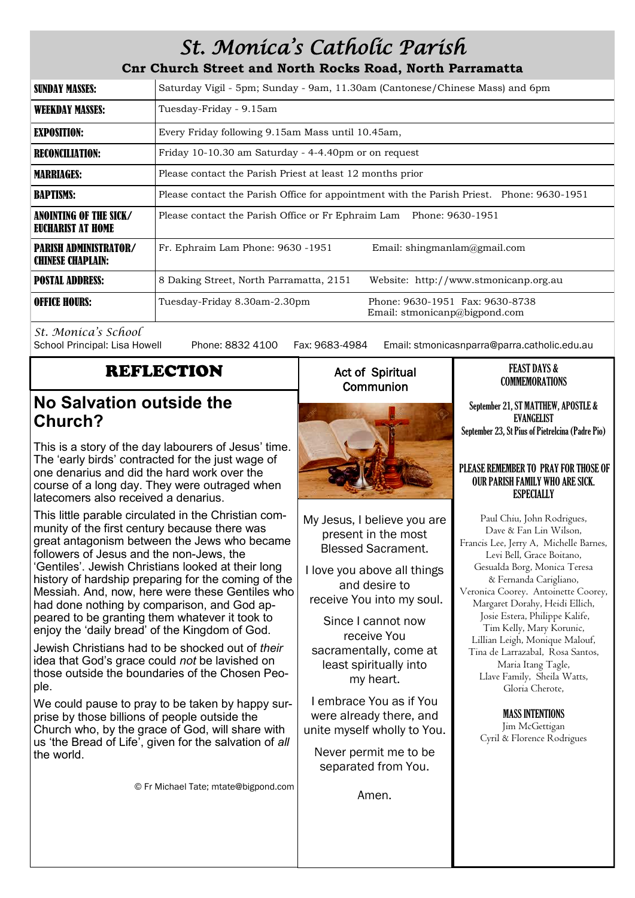## *St. Monica's Catholic Parish*

**Cnr Church Street and North Rocks Road, North Parramatta**

| <b>SUNDAY MASSES:</b>                                    | Saturday Vigil - 5pm; Sunday - 9am, 11.30am (Cantonese/Chinese Mass) and 6pm                     |  |  |
|----------------------------------------------------------|--------------------------------------------------------------------------------------------------|--|--|
| <b>WEEKDAY MASSES:</b>                                   | Tuesday-Friday - 9.15am                                                                          |  |  |
| <b>EXPOSITION:</b>                                       | Every Friday following 9.15am Mass until 10.45am,                                                |  |  |
| <b>RECONCILIATION:</b>                                   | Friday 10-10.30 am Saturday - 4-4.40pm or on request                                             |  |  |
| <b>MARRIAGES:</b>                                        | Please contact the Parish Priest at least 12 months prior                                        |  |  |
| <b>BAPTISMS:</b>                                         | Please contact the Parish Office for appointment with the Parish Priest. Phone: 9630-1951        |  |  |
| ANOINTING OF THE SICK/<br>EUCHARIST AT HOME              | Please contact the Parish Office or Fr Ephraim Lam Phone: 9630-1951                              |  |  |
| <b>PARISH ADMINISTRATOR/</b><br><b>CHINESE CHAPLAIN:</b> | Email: shingmanlam@gmail.com<br>Fr. Ephraim Lam Phone: 9630 -1951                                |  |  |
| <b>POSTAL ADDRESS:</b>                                   | 8 Daking Street, North Parramatta, 2151<br>Website: http://www.stmonicanp.org.au                 |  |  |
| <b>OFFICE HOURS:</b>                                     | Phone: 9630-1951 Fax: 9630-8738<br>Tuesday-Friday 8.30am-2.30pm<br>Email: stmonicanp@bigpond.com |  |  |

*St. Monica's School*

Phone: 8832 4100 Fax: 9683-4984 Email: stmonicasnparra@parra.catholic.edu.au

## REFLECTION

## **No Salvation outside the Church?**

This is a story of the day labourers of Jesus' time. The 'early birds' contracted for the just wage of one denarius and did the hard work over the course of a long day. They were outraged when latecomers also received a denarius.

This little parable circulated in the Christian community of the first century because there was great antagonism between the Jews who became followers of Jesus and the non-Jews, the 'Gentiles'. Jewish Christians looked at their long history of hardship preparing for the coming of the Messiah. And, now, here were these Gentiles who had done nothing by comparison, and God appeared to be granting them whatever it took to enjoy the 'daily bread' of the Kingdom of God.

Jewish Christians had to be shocked out of *their* idea that God's grace could *not* be lavished on those outside the boundaries of the Chosen People.

We could pause to pray to be taken by happy surprise by those billions of people outside the Church who, by the grace of God, will share with us 'the Bread of Life', given for the salvation of *all* the world.

© Fr Michael Tate; mtate@bigpond.com

## Act of Spiritual **Communion**



My Jesus, I believe you are present in the most Blessed Sacrament.

I love you above all things and desire to receive You into my soul.

Since I cannot now receive You sacramentally, come at least spiritually into my heart.

I embrace You as if You were already there, and unite myself wholly to You.

Never permit me to be separated from You.

Amen.

#### FEAST DAYS & COMMEMORATIONS

September 21, ST MATTHEW, APOSTLE & EVANGELIST September 23, St Pius of Pietrelcina (Padre Pio)

## PLEASE REMEMBER TO PRAY FOR THOSE OF OUR PARISH FAMILY WHO ARE SICK. **ESPECIALLY**

Paul Chiu, John Rodrigues, Dave & Fan Lin Wilson, Francis Lee, Jerry A, Michelle Barnes, Levi Bell, Grace Boitano, Gesualda Borg, Monica Teresa & Fernanda Carigliano, Veronica Coorey. Antoinette Coorey, Margaret Dorahy, Heidi Ellich, Josie Estera, Philippe Kalife, Tim Kelly, Mary Korunic, Lillian Leigh, Monique Malouf, Tina de Larrazabal, Rosa Santos, Maria Itang Tagle, Llave Family, Sheila Watts, Gloria Cherote,

> MASS INTENTIONS Jim McGettigan Cyril & Florence Rodrigues